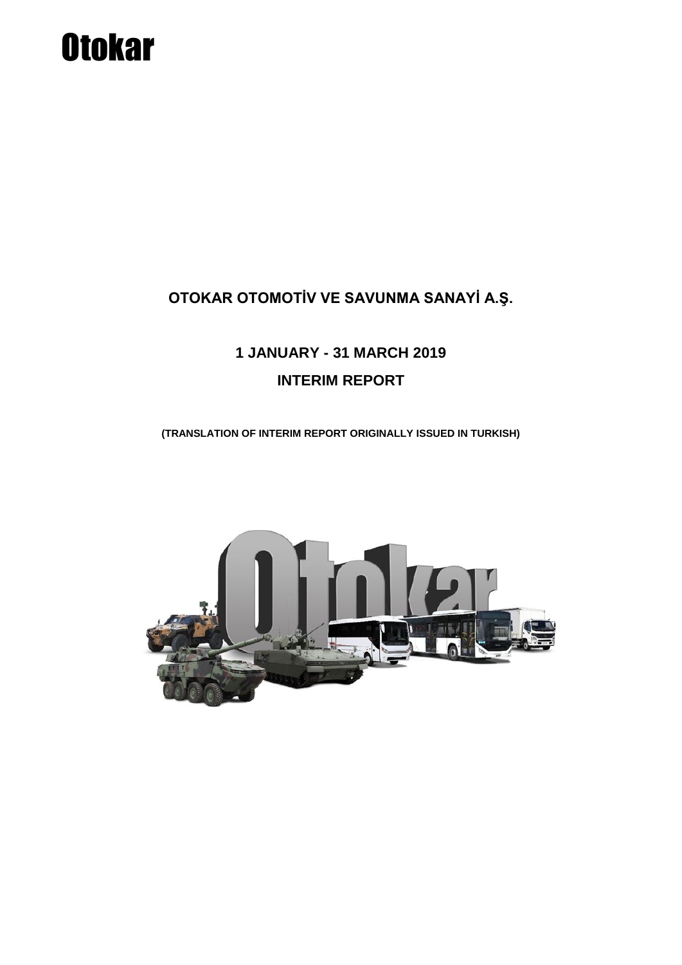# **Otokar**

### **OTOKAR OTOMOTİV VE SAVUNMA SANAYİ A.Ş.**

## **1 JANUARY - 31 MARCH 2019 INTERIM REPORT**

**(TRANSLATION OF INTERIM REPORT ORIGINALLY ISSUED IN TURKISH)**

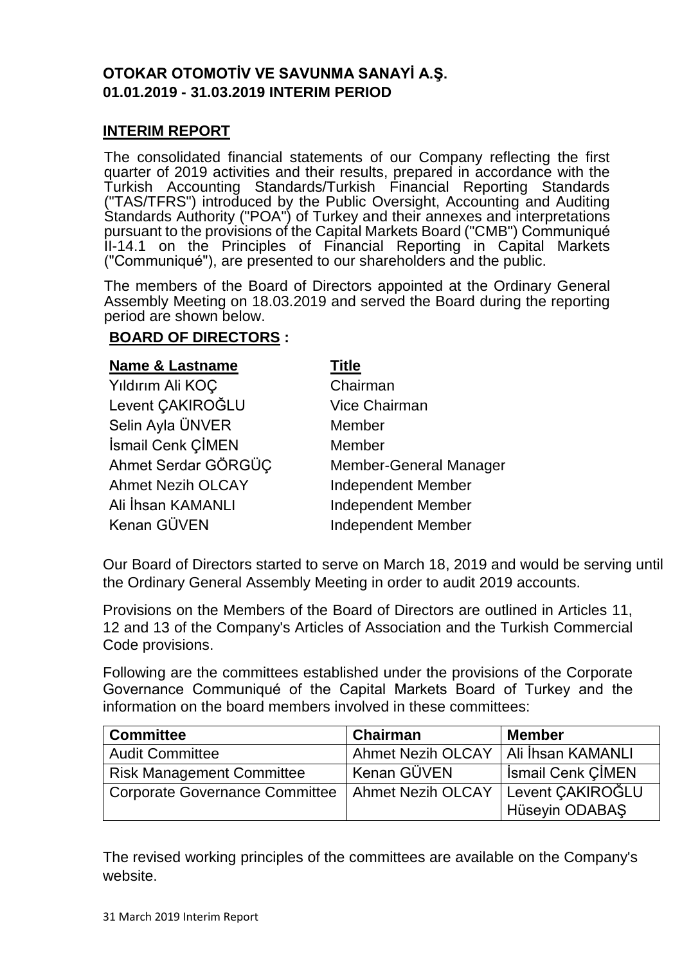#### **OTOKAR OTOMOTİV VE SAVUNMA SANAYİ A.Ş. 01.01.2019 - 31.03.2019 INTERIM PERIOD**

#### **INTERIM REPORT**

The consolidated financial statements of our Company reflecting the first quarter of 2019 activities and their results, prepared in accordance with the Turkish Accounting Standards/Turkish Financial Reporting Standards ("TAS/TFRS") introduced by the Public Oversight, Accounting and Auditing Standards Authority ("POA") of Turkey and their annexes and interpretations pursuant to the provisions of the Capital Markets Board ("CMB") Communiqué II-14.1 on the Principles of Financial Reporting in Capital Markets ("Communiqué"), are presented to our shareholders and the public.

The members of the Board of Directors appointed at the Ordinary General Assembly Meeting on 18.03.2019 and served the Board during the reporting period are shown below.

#### **BOARD OF DIRECTORS :**

#### **Name & Lastname Title**

| Yıldırım Ali KOÇ         | Chairman                      |
|--------------------------|-------------------------------|
| Levent ÇAKIROĞLU         | <b>Vice Chairman</b>          |
| Selin Ayla ÜNVER         | Member                        |
| İsmail Cenk ÇİMEN        | Member                        |
| Ahmet Serdar GÖRGÜÇ      | <b>Member-General Manager</b> |
| <b>Ahmet Nezih OLCAY</b> | <b>Independent Member</b>     |
| Ali İhsan KAMANLI        | <b>Independent Member</b>     |
| Kenan GÜVEN              | <b>Independent Member</b>     |

Our Board of Directors started to serve on March 18, 2019 and would be serving until the Ordinary General Assembly Meeting in order to audit 2019 accounts.

Provisions on the Members of the Board of Directors are outlined in Articles 11, 12 and 13 of the Company's Articles of Association and the Turkish Commercial Code provisions.

Following are the committees established under the provisions of the Corporate Governance Communiqué of the Capital Markets Board of Turkey and the information on the board members involved in these committees:

| <b>Committee</b>                                   | Chairman                 | <b>Member</b>            |
|----------------------------------------------------|--------------------------|--------------------------|
| <b>Audit Committee</b>                             | <b>Ahmet Nezih OLCAY</b> | Ali İhsan KAMANLI        |
| <b>Risk Management Committee</b>                   | ' Kenan GÜVEN            | <b>Ismail Cenk CIMEN</b> |
| Corporate Governance Committee   Ahmet Nezih OLCAY |                          | Levent CAKIROĞLU         |
|                                                    |                          | Hüseyin ODABAŞ           |

The revised working principles of the committees are available on the Company's website.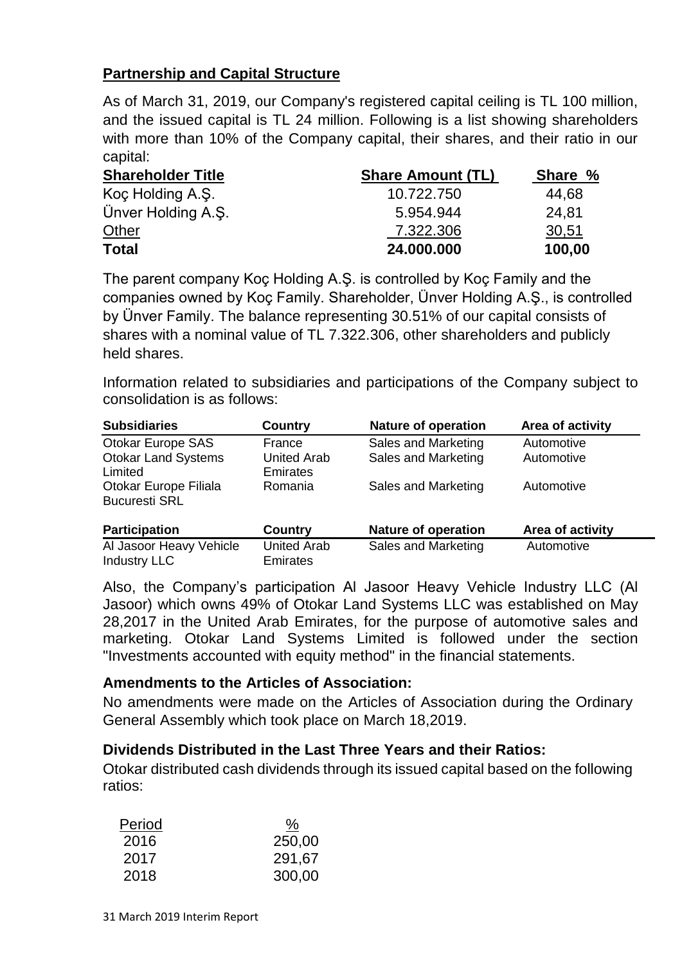#### **Partnership and Capital Structure**

As of March 31, 2019, our Company's registered capital ceiling is TL 100 million, and the issued capital is TL 24 million. Following is a list showing shareholders with more than 10% of the Company capital, their shares, and their ratio in our capital:

| <b>Shareholder Title</b> | <b>Share Amount (TL)</b> | Share % |
|--------------------------|--------------------------|---------|
| Koç Holding A.Ş.         | 10.722.750               | 44,68   |
| Ünver Holding A.S.       | 5.954.944                | 24.81   |
| <b>Other</b>             | 7.322.306                | 30,51   |
| <b>Total</b>             | 24.000.000               | 100,00  |

The parent company Koç Holding A.Ş. is controlled by Koç Family and the companies owned by Koç Family. Shareholder, Ünver Holding A.Ş., is controlled by Ünver Family. The balance representing 30.51% of our capital consists of shares with a nominal value of TL 7.322.306, other shareholders and publicly held shares.

Information related to subsidiaries and participations of the Company subject to consolidation is as follows:

| <b>Subsidiaries</b>        | <b>Country</b>     | <b>Nature of operation</b> | Area of activity |
|----------------------------|--------------------|----------------------------|------------------|
| <b>Otokar Europe SAS</b>   | France             | Sales and Marketing        | Automotive       |
| <b>Otokar Land Systems</b> | <b>United Arab</b> | Sales and Marketing        | Automotive       |
| Limited                    | <b>Emirates</b>    |                            |                  |
| Otokar Europe Filiala      | Romania            | Sales and Marketing        | Automotive       |
| <b>Bucuresti SRL</b>       |                    |                            |                  |
| <b>Participation</b>       | <b>Country</b>     | <b>Nature of operation</b> | Area of activity |
| Al Jasoor Heavy Vehicle    | <b>United Arab</b> | Sales and Marketing        | Automotive       |
| <b>Industry LLC</b>        | <b>Emirates</b>    |                            |                  |

Also, the Company's participation Al Jasoor Heavy Vehicle Industry LLC (Al Jasoor) which owns 49% of Otokar Land Systems LLC was established on May 28,2017 in the United Arab Emirates, for the purpose of automotive sales and marketing. Otokar Land Systems Limited is followed under the section "Investments accounted with equity method" in the financial statements.

#### **Amendments to the Articles of Association:**

No amendments were made on the Articles of Association during the Ordinary General Assembly which took place on March 18,2019.

#### **Dividends Distributed in the Last Three Years and their Ratios:**

Otokar distributed cash dividends through its issued capital based on the following ratios:

| <u>%</u> |
|----------|
| 250,00   |
| 291,67   |
| 300,00   |
|          |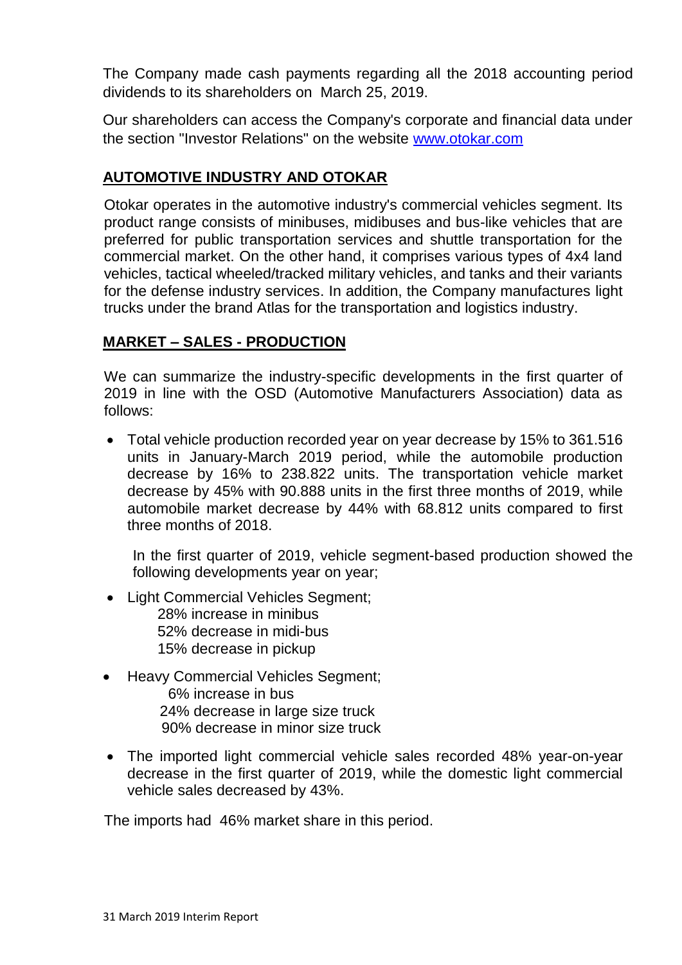The Company made cash payments regarding all the 2018 accounting period dividends to its shareholders on March 25, 2019.

Our shareholders can access the Company's corporate and financial data under the section "Investor Relations" on the website [www.otokar.com](http://www.otokar.com/)

#### **AUTOMOTIVE INDUSTRY AND OTOKAR**

Otokar operates in the automotive industry's commercial vehicles segment. Its product range consists of minibuses, midibuses and bus-like vehicles that are preferred for public transportation services and shuttle transportation for the commercial market. On the other hand, it comprises various types of 4x4 land vehicles, tactical wheeled/tracked military vehicles, and tanks and their variants for the defense industry services. In addition, the Company manufactures light trucks under the brand Atlas for the transportation and logistics industry.

#### **MARKET – SALES - PRODUCTION**

We can summarize the industry-specific developments in the first quarter of 2019 in line with the OSD (Automotive Manufacturers Association) data as follows:

 Total vehicle production recorded year on year decrease by 15% to 361.516 units in January-March 2019 period, while the automobile production decrease by 16% to 238.822 units. The transportation vehicle market decrease by 45% with 90.888 units in the first three months of 2019, while automobile market decrease by 44% with 68.812 units compared to first three months of 2018.

In the first quarter of 2019, vehicle segment-based production showed the following developments year on year;

- Light Commercial Vehicles Segment: 28% increase in minibus 52% decrease in midi-bus 15% decrease in pickup
- Heavy Commercial Vehicles Segment; 6% increase in bus 24% decrease in large size truck 90% decrease in minor size truck
- The imported light commercial vehicle sales recorded 48% year-on-year decrease in the first quarter of 2019, while the domestic light commercial vehicle sales decreased by 43%.

The imports had 46% market share in this period.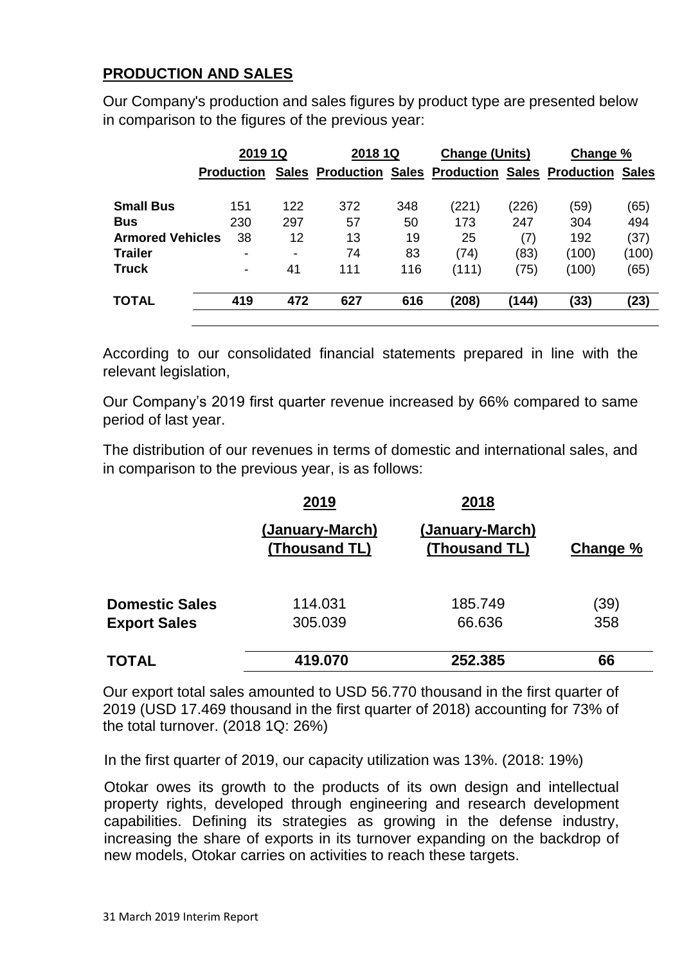#### **PRODUCTION AND SALES**

Our Company's production and sales figures by product type are presented below in comparison to the figures of the previous year:

|                         | 2019 1Q                  |                          | 2018 1Q                       |     | <b>Change (Units)</b>   |       | Change %          |              |
|-------------------------|--------------------------|--------------------------|-------------------------------|-----|-------------------------|-------|-------------------|--------------|
|                         | <b>Production</b>        |                          | <b>Sales Production Sales</b> |     | <b>Production Sales</b> |       | <b>Production</b> | <b>Sales</b> |
| <b>Small Bus</b>        | 151                      | 122                      | 372                           | 348 | (221)                   | (226) | (59)              | (65)         |
| <b>Bus</b>              | 230                      | 297                      | 57                            | 50  | 173                     | 247   | 304               | 494          |
| <b>Armored Vehicles</b> | 38                       | 12                       | 13                            | 19  | 25                      | (7)   | 192               | (37)         |
| <b>Trailer</b>          | -                        | $\overline{\phantom{0}}$ | 74                            | 83  | (74)                    | (83)  | (100)             | (100)        |
| <b>Truck</b>            | $\overline{\phantom{a}}$ | 41                       | 111                           | 116 | (111)                   | (75)  | (100)             | (65)         |
| <b>TOTAL</b>            | 419                      | 472                      | 627                           | 616 | (208)                   | (144) | (33)              | (23)         |

According to our consolidated financial statements prepared in line with the relevant legislation,

Our Company's 2019 first quarter revenue increased by 66% compared to same period of last year.

The distribution of our revenues in terms of domestic and international sales, and in comparison to the previous year, is as follows:

|                       | 2019                             | 2018                             |          |
|-----------------------|----------------------------------|----------------------------------|----------|
|                       | (January-March)<br>(Thousand TL) | (January-March)<br>(Thousand TL) | Change % |
| <b>Domestic Sales</b> | 114.031                          | 185.749                          | (39)     |
| <b>Export Sales</b>   | 305.039                          | 66.636                           | 358      |
| <b>TOTAL</b>          | 419.070                          | 252.385                          | 66       |

Our export total sales amounted to USD 56.770 thousand in the first quarter of 2019 (USD 17.469 thousand in the first quarter of 2018) accounting for 73% of the total turnover. (2018 1Q: 26%)

In the first quarter of 2019, our capacity utilization was 13%. (2018: 19%)

Otokar owes its growth to the products of its own design and intellectual property rights, developed through engineering and research development capabilities. Defining its strategies as growing in the defense industry, increasing the share of exports in its turnover expanding on the backdrop of new models, Otokar carries on activities to reach these targets.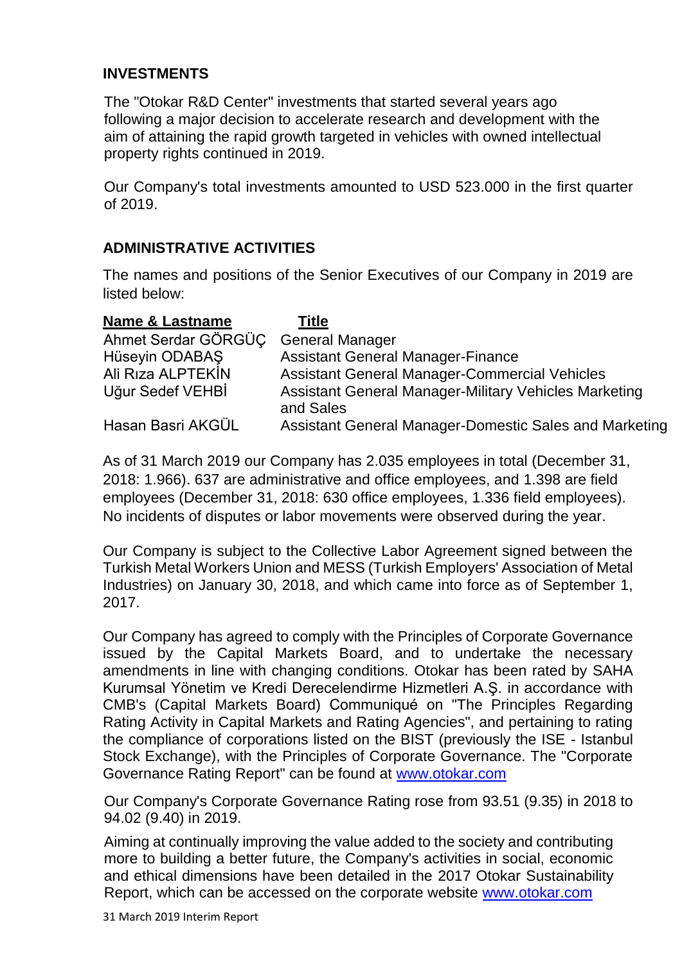#### **INVESTMENTS**

The "Otokar R&D Center" investments that started several years ago following a major decision to accelerate research and development with the aim of attaining the rapid growth targeted in vehicles with owned intellectual property rights continued in 2019.

Our Company's total investments amounted to USD 523.000 in the first quarter of 2019.

#### **ADMINISTRATIVE ACTIVITIES**

The names and positions of the Senior Executives of our Company in 2019 are listed below:

| <b>Name &amp; Lastname</b> | Title                                                                     |
|----------------------------|---------------------------------------------------------------------------|
| Ahmet Serdar GÖRGÜC        | <b>General Manager</b>                                                    |
| Hüseyin ODABAŞ             | <b>Assistant General Manager-Finance</b>                                  |
| Ali Riza ALPTEKIN          | <b>Assistant General Manager-Commercial Vehicles</b>                      |
| Uğur Sedef VEHBİ           | <b>Assistant General Manager-Military Vehicles Marketing</b><br>and Sales |
| Hasan Basri AKGÜL          | Assistant General Manager-Domestic Sales and Marketing                    |

As of 31 March 2019 our Company has 2.035 employees in total (December 31, 2018: 1.966). 637 are administrative and office employees, and 1.398 are field employees (December 31, 2018: 630 office employees, 1.336 field employees). No incidents of disputes or labor movements were observed during the year.

Our Company is subject to the Collective Labor Agreement signed between the Turkish Metal Workers Union and MESS (Turkish Employers' Association of Metal Industries) on January 30, 2018, and which came into force as of September 1, 2017.

Our Company has agreed to comply with the Principles of Corporate Governance issued by the Capital Markets Board, and to undertake the necessary amendments in line with changing conditions. Otokar has been rated by SAHA Kurumsal Yönetim ve Kredi Derecelendirme Hizmetleri A.Ş. in accordance with CMB's (Capital Markets Board) Communiqué on "The Principles Regarding Rating Activity in Capital Markets and Rating Agencies", and pertaining to rating the compliance of corporations listed on the BIST (previously the ISE - Istanbul Stock Exchange), with the Principles of Corporate Governance. The "Corporate Governance Rating Report" can be found at [www.otokar.com](http://www.otokar.com/)

Our Company's Corporate Governance Rating rose from 93.51 (9.35) in 2018 to 94.02 (9.40) in 2019.

Aiming at continually improving the value added to the society and contributing more to building a better future, the Company's activities in social, economic and ethical dimensions have been detailed in the 2017 Otokar Sustainability Report, which can be accessed on the corporate website [www.otokar.com](http://www.otokar.com/)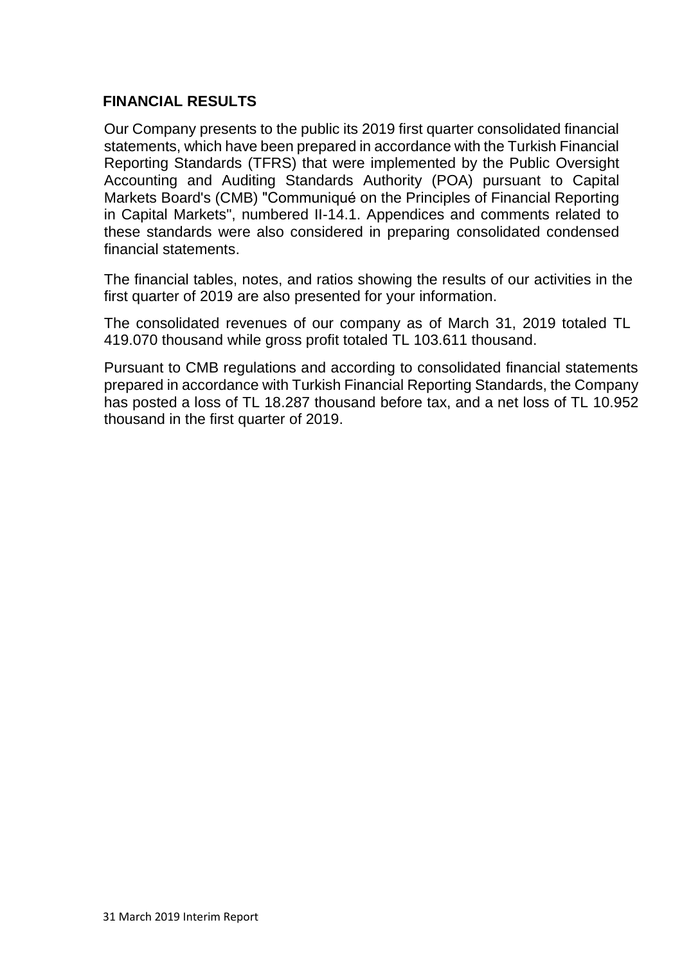#### **FINANCIAL RESULTS**

Our Company presents to the public its 2019 first quarter consolidated financial statements, which have been prepared in accordance with the Turkish Financial Reporting Standards (TFRS) that were implemented by the Public Oversight Accounting and Auditing Standards Authority (POA) pursuant to Capital Markets Board's (CMB) "Communiqué on the Principles of Financial Reporting in Capital Markets", numbered II-14.1. Appendices and comments related to these standards were also considered in preparing consolidated condensed financial statements.

The financial tables, notes, and ratios showing the results of our activities in the first quarter of 2019 are also presented for your information.

The consolidated revenues of our company as of March 31, 2019 totaled TL 419.070 thousand while gross profit totaled TL 103.611 thousand.

Pursuant to CMB regulations and according to consolidated financial statements prepared in accordance with Turkish Financial Reporting Standards, the Company has posted a loss of TL 18.287 thousand before tax, and a net loss of TL 10.952 thousand in the first quarter of 2019.